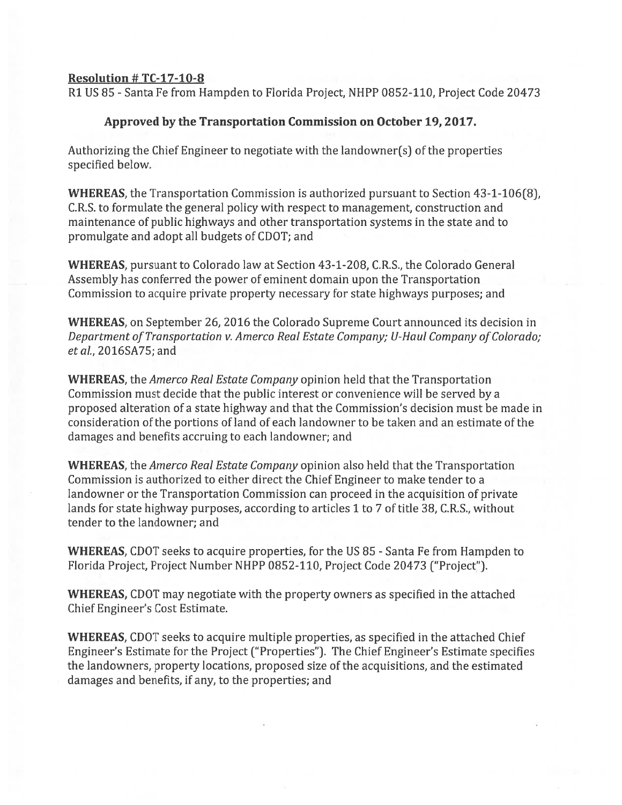## Resolution  $#TC-17-10-8$

Ri US 85 -Santa Fe from Hampden to Florida Project, NHPP 0852-110, Project Code 20473

## Approved by the Transportation Commission on October 19, 2017.

Authorizing the Chief Engineer to negotiate with the landowner(s) of the properties specified below.

WHEREAS, the Transportation Commission is authorized pursuan<sup>t</sup> to Section 43-1-106(8), C.R.S. to formulate the general policy with respec<sup>t</sup> to management, construction and maintenance of public highways and other transportation systems in the state and to promulgate and adopt all budgets of CDOT; and

WHEREAS, pursuan<sup>t</sup> to Colorado law at Section 43-1-208, C.R.S., the Colorado General Assembly has conferred the power of eminent domain upon the Transportation Commission to acquire private property necessary for state highways purposes; and

WHEREAS, on September 26, 2016 the Colorado Supreme Court announced its decision in Department of Transportation v. Amerco Real Estate Company; U-Haul Company of Colorado; etal., 20165A75; and

WHEREAS, the Amerco Real Estate Company opinion held that the Transportation Commission must decide that the public interest or convenience will be served by <sup>a</sup> proposed alteration of <sup>a</sup> state highway and that the Commission's decision must be made in consideration of the portions of land of each landowner to be taken and an estimate of the damages and benefits accruing to each landowner; and

WHEREAS, the Amerco Real Estate Company opinion also held that the Transportation Commission is authorized to either direct the Chief Engineer to make tender to <sup>a</sup> landowner or the Transportation Commission can proceed in the acquisition of private lands for state highway purposes, according to articles 1 to 7 of title 38, C.R.S., without tender to the landowner; and

WHEREAS, CDOT seeks to acquire properties, for the US 85 - Santa Fe from Hampden to Florida Project, Project Number NHPP 0852-110, Project Code 20473 ("Project").

WHEREAS, CDOT may negotiate with the property owners as specified in the attached Chief Engineer's Cost Estimate.

WHEREAS, CDOT seeks to acquire multiple properties, as specified in the attached Chief Engineer's Estimate for the Project ("Properties"). The Chief Engineer's Estimate specifies the landowners, property locations, proposed size of the acquisitions, and the estimated damages and benefits, if any, to the properties; and